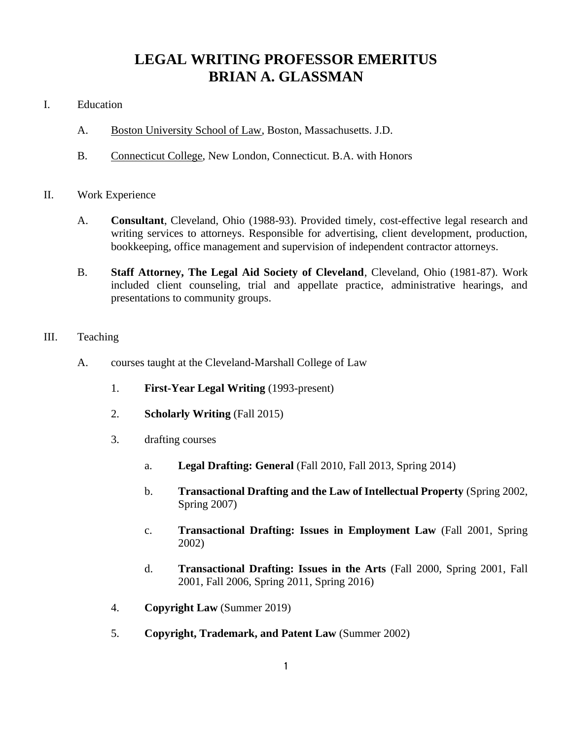## **LEGAL WRITING PROFESSOR EMERITUS BRIAN A. GLASSMAN**

- I. Education
	- A. Boston University School of Law, Boston, Massachusetts. J.D.
	- B. Connecticut College, New London, Connecticut. B.A. with Honors
- II. Work Experience
	- A. **Consultant**, Cleveland, Ohio (1988-93). Provided timely, cost-effective legal research and writing services to attorneys. Responsible for advertising, client development, production, bookkeeping, office management and supervision of independent contractor attorneys.
	- B. **Staff Attorney, The Legal Aid Society of Cleveland**, Cleveland, Ohio (1981-87). Work included client counseling, trial and appellate practice, administrative hearings, and presentations to community groups.
- III. Teaching
	- A. courses taught at the Cleveland-Marshall College of Law
		- 1. **First-Year Legal Writing** (1993-present)
		- 2. **Scholarly Writing** (Fall 2015)
		- 3. drafting courses
			- a. **Legal Drafting: General** (Fall 2010, Fall 2013, Spring 2014)
			- b. **Transactional Drafting and the Law of Intellectual Property** (Spring 2002, Spring 2007)
			- c. **Transactional Drafting: Issues in Employment Law** (Fall 2001, Spring 2002)
			- d. **Transactional Drafting: Issues in the Arts** (Fall 2000, Spring 2001, Fall 2001, Fall 2006, Spring 2011, Spring 2016)
		- 4. **Copyright Law** (Summer 2019)
		- 5. **Copyright, Trademark, and Patent Law** (Summer 2002)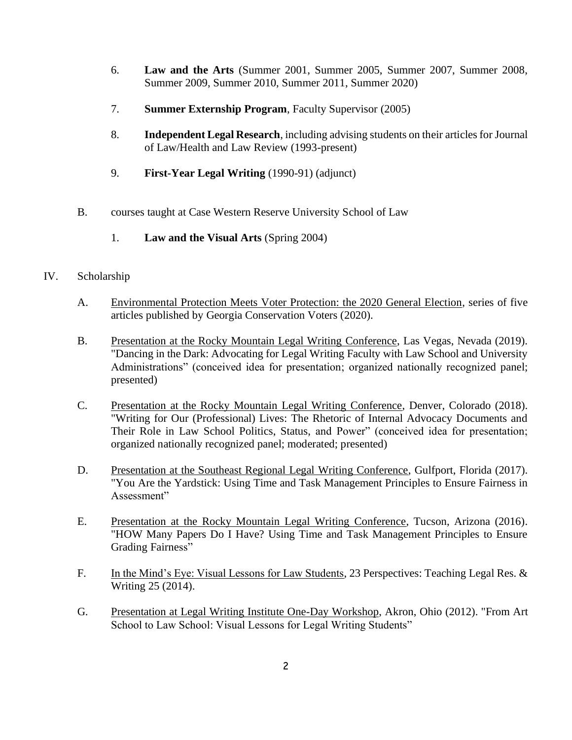- 6. **Law and the Arts** (Summer 2001, Summer 2005, Summer 2007, Summer 2008, Summer 2009, Summer 2010, Summer 2011, Summer 2020)
- 7. **Summer Externship Program**, Faculty Supervisor (2005)
- 8. **Independent Legal Research**, including advising students on their articles for Journal of Law/Health and Law Review (1993-present)
- 9. **First-Year Legal Writing** (1990-91) (adjunct)
- B. courses taught at Case Western Reserve University School of Law
	- 1. **Law and the Visual Arts** (Spring 2004)

## IV. Scholarship

- A. Environmental Protection Meets Voter Protection: the 2020 General Election, series of five articles published by Georgia Conservation Voters (2020).
- B. Presentation at the Rocky Mountain Legal Writing Conference, Las Vegas, Nevada (2019). "Dancing in the Dark: Advocating for Legal Writing Faculty with Law School and University Administrations" (conceived idea for presentation; organized nationally recognized panel; presented)
- C. Presentation at the Rocky Mountain Legal Writing Conference, Denver, Colorado (2018). "Writing for Our (Professional) Lives: The Rhetoric of Internal Advocacy Documents and Their Role in Law School Politics, Status, and Power" (conceived idea for presentation; organized nationally recognized panel; moderated; presented)
- D. Presentation at the Southeast Regional Legal Writing Conference, Gulfport, Florida (2017). "You Are the Yardstick: Using Time and Task Management Principles to Ensure Fairness in Assessment"
- E. Presentation at the Rocky Mountain Legal Writing Conference, Tucson, Arizona (2016). "HOW Many Papers Do I Have? Using Time and Task Management Principles to Ensure Grading Fairness"
- F. In the Mind's Eye: Visual Lessons for Law Students, 23 Perspectives: Teaching Legal Res. & Writing 25 (2014).
- G. Presentation at Legal Writing Institute One-Day Workshop, Akron, Ohio (2012). "From Art School to Law School: Visual Lessons for Legal Writing Students"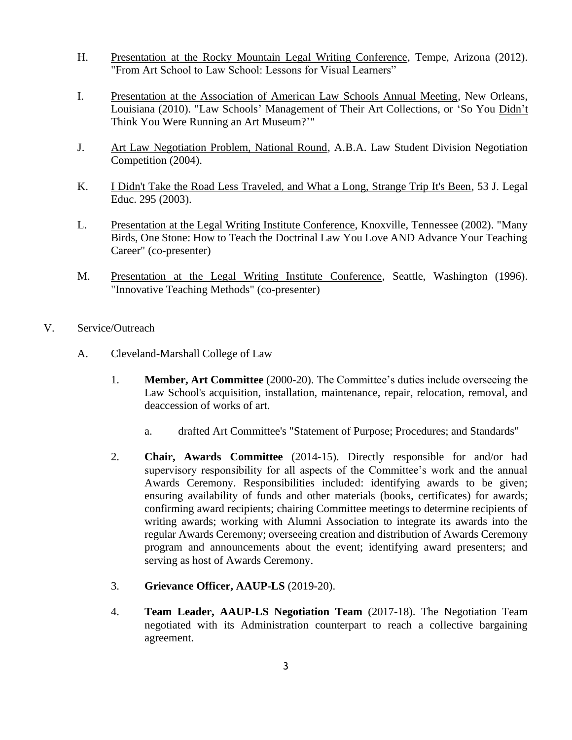- H. Presentation at the Rocky Mountain Legal Writing Conference, Tempe, Arizona (2012). "From Art School to Law School: Lessons for Visual Learners"
- I. Presentation at the Association of American Law Schools Annual Meeting, New Orleans, Louisiana (2010). "Law Schools' Management of Their Art Collections, or 'So You Didn't Think You Were Running an Art Museum?'"
- J. Art Law Negotiation Problem, National Round, A.B.A. Law Student Division Negotiation Competition (2004).
- K. I Didn't Take the Road Less Traveled, and What a Long, Strange Trip It's Been, 53 J. Legal Educ. 295 (2003).
- L. Presentation at the Legal Writing Institute Conference, Knoxville, Tennessee (2002). "Many Birds, One Stone: How to Teach the Doctrinal Law You Love AND Advance Your Teaching Career" (co-presenter)
- M. Presentation at the Legal Writing Institute Conference, Seattle, Washington (1996). "Innovative Teaching Methods" (co-presenter)
- V. Service/Outreach
	- A. Cleveland-Marshall College of Law
		- 1. **Member, Art Committee** (2000-20). The Committee's duties include overseeing the Law School's acquisition, installation, maintenance, repair, relocation, removal, and deaccession of works of art.
			- a. drafted Art Committee's "Statement of Purpose; Procedures; and Standards"
		- 2. **Chair, Awards Committee** (2014-15). Directly responsible for and/or had supervisory responsibility for all aspects of the Committee's work and the annual Awards Ceremony. Responsibilities included: identifying awards to be given; ensuring availability of funds and other materials (books, certificates) for awards; confirming award recipients; chairing Committee meetings to determine recipients of writing awards; working with Alumni Association to integrate its awards into the regular Awards Ceremony; overseeing creation and distribution of Awards Ceremony program and announcements about the event; identifying award presenters; and serving as host of Awards Ceremony.
		- 3. **Grievance Officer, AAUP-LS** (2019-20).
		- 4. **Team Leader, AAUP-LS Negotiation Team** (2017-18). The Negotiation Team negotiated with its Administration counterpart to reach a collective bargaining agreement.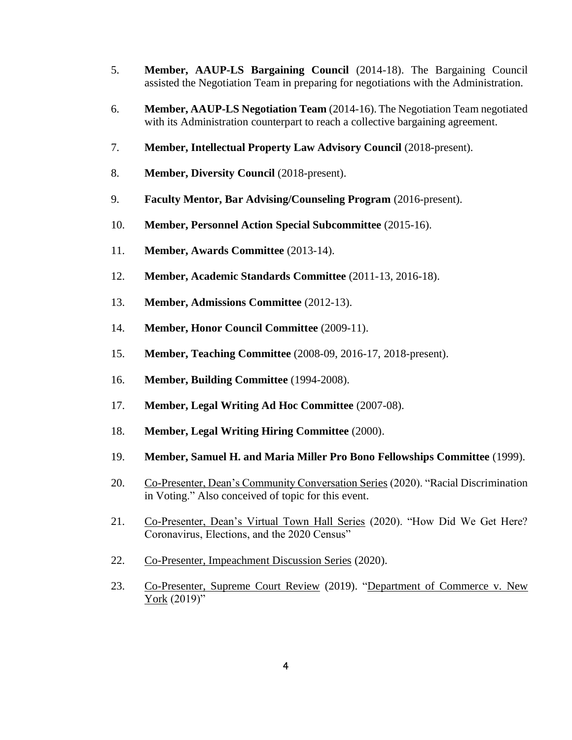- 5. **Member, AAUP-LS Bargaining Council** (2014-18). The Bargaining Council assisted the Negotiation Team in preparing for negotiations with the Administration.
- 6. **Member, AAUP-LS Negotiation Team** (2014-16). The Negotiation Team negotiated with its Administration counterpart to reach a collective bargaining agreement.
- 7. **Member, Intellectual Property Law Advisory Council** (2018-present).
- 8. **Member, Diversity Council** (2018-present).
- 9. **Faculty Mentor, Bar Advising/Counseling Program** (2016-present).
- 10. **Member, Personnel Action Special Subcommittee** (2015-16).
- 11. **Member, Awards Committee** (2013-14).
- 12. **Member, Academic Standards Committee** (2011-13, 2016-18).
- 13. **Member, Admissions Committee** (2012-13).
- 14. **Member, Honor Council Committee** (2009-11).
- 15. **Member, Teaching Committee** (2008-09, 2016-17, 2018-present).
- 16. **Member, Building Committee** (1994-2008).
- 17. **Member, Legal Writing Ad Hoc Committee** (2007-08).
- 18. **Member, Legal Writing Hiring Committee** (2000).
- 19. **Member, Samuel H. and Maria Miller Pro Bono Fellowships Committee** (1999).
- 20. Co-Presenter, Dean's Community Conversation Series (2020). "Racial Discrimination in Voting." Also conceived of topic for this event.
- 21. Co-Presenter, Dean's Virtual Town Hall Series (2020). "How Did We Get Here? Coronavirus, Elections, and the 2020 Census"
- 22. Co-Presenter, Impeachment Discussion Series (2020).
- 23. Co-Presenter, Supreme Court Review (2019). "Department of Commerce v. New York (2019)"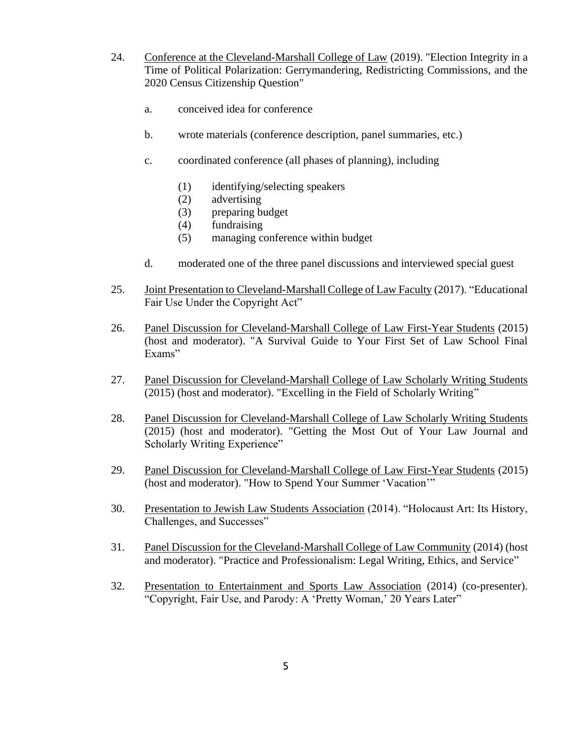- 24. Conference at the Cleveland-Marshall College of Law (2019). "Election Integrity in a Time of Political Polarization: Gerrymandering, Redistricting Commissions, and the 2020 Census Citizenship Question"
	- a. conceived idea for conference
	- b. wrote materials (conference description, panel summaries, etc.)
	- c. coordinated conference (all phases of planning), including
		- (1) identifying/selecting speakers
		- (2) advertising
		- (3) preparing budget
		- (4) fundraising
		- (5) managing conference within budget
	- d. moderated one of the three panel discussions and interviewed special guest
- 25. Joint Presentation to Cleveland-Marshall College of Law Faculty (2017). "Educational Fair Use Under the Copyright Act"
- 26. Panel Discussion for Cleveland-Marshall College of Law First-Year Students (2015) (host and moderator). "A Survival Guide to Your First Set of Law School Final Exams"
- 27. Panel Discussion for Cleveland-Marshall College of Law Scholarly Writing Students (2015) (host and moderator). "Excelling in the Field of Scholarly Writing"
- 28. Panel Discussion for Cleveland-Marshall College of Law Scholarly Writing Students (2015) (host and moderator). "Getting the Most Out of Your Law Journal and Scholarly Writing Experience"
- 29. Panel Discussion for Cleveland-Marshall College of Law First-Year Students (2015) (host and moderator). "How to Spend Your Summer 'Vacation'"
- 30. Presentation to Jewish Law Students Association (2014). "Holocaust Art: Its History, Challenges, and Successes"
- 31. Panel Discussion for the Cleveland-Marshall College of Law Community (2014) (host and moderator). "Practice and Professionalism: Legal Writing, Ethics, and Service"
- 32. Presentation to Entertainment and Sports Law Association (2014) (co-presenter). "Copyright, Fair Use, and Parody: A 'Pretty Woman,' 20 Years Later"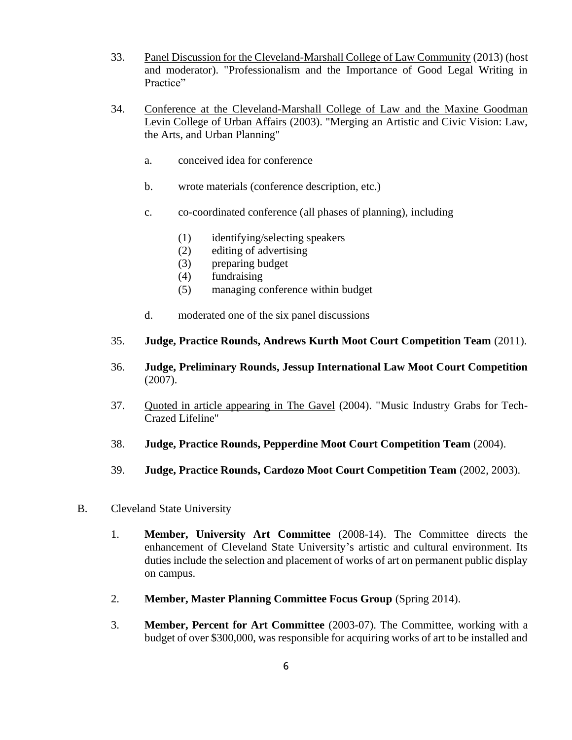- 33. Panel Discussion for the Cleveland-Marshall College of Law Community (2013) (host and moderator). "Professionalism and the Importance of Good Legal Writing in Practice"
- 34. Conference at the Cleveland-Marshall College of Law and the Maxine Goodman Levin College of Urban Affairs (2003). "Merging an Artistic and Civic Vision: Law, the Arts, and Urban Planning"
	- a. conceived idea for conference
	- b. wrote materials (conference description, etc.)
	- c. co-coordinated conference (all phases of planning), including
		- (1) identifying/selecting speakers
		- (2) editing of advertising
		- (3) preparing budget
		- (4) fundraising
		- (5) managing conference within budget
	- d. moderated one of the six panel discussions
- 35. **Judge, Practice Rounds, Andrews Kurth Moot Court Competition Team** (2011).
- 36. **Judge, Preliminary Rounds, Jessup International Law Moot Court Competition** (2007).
- 37. Quoted in article appearing in The Gavel (2004). "Music Industry Grabs for Tech-Crazed Lifeline"
- 38. **Judge, Practice Rounds, Pepperdine Moot Court Competition Team** (2004).
- 39. **Judge, Practice Rounds, Cardozo Moot Court Competition Team** (2002, 2003).
- B. Cleveland State University
	- 1. **Member, University Art Committee** (2008-14). The Committee directs the enhancement of Cleveland State University's artistic and cultural environment. Its duties include the selection and placement of works of art on permanent public display on campus.
	- 2. **Member, Master Planning Committee Focus Group** (Spring 2014).
	- 3. **Member, Percent for Art Committee** (2003-07). The Committee, working with a budget of over \$300,000, was responsible for acquiring works of art to be installed and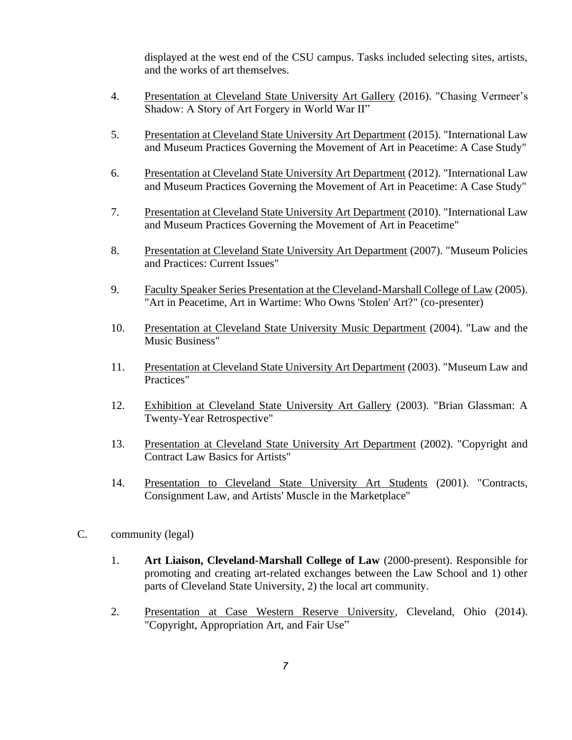displayed at the west end of the CSU campus. Tasks included selecting sites, artists, and the works of art themselves.

- 4. Presentation at Cleveland State University Art Gallery (2016). "Chasing Vermeer's Shadow: A Story of Art Forgery in World War II"
- 5. Presentation at Cleveland State University Art Department (2015). "International Law and Museum Practices Governing the Movement of Art in Peacetime: A Case Study"
- 6. Presentation at Cleveland State University Art Department (2012). "International Law and Museum Practices Governing the Movement of Art in Peacetime: A Case Study"
- 7. Presentation at Cleveland State University Art Department (2010). "International Law and Museum Practices Governing the Movement of Art in Peacetime"
- 8. Presentation at Cleveland State University Art Department (2007). "Museum Policies and Practices: Current Issues"
- 9. Faculty Speaker Series Presentation at the Cleveland-Marshall College of Law (2005). "Art in Peacetime, Art in Wartime: Who Owns 'Stolen' Art?" (co-presenter)
- 10. Presentation at Cleveland State University Music Department (2004). "Law and the Music Business"
- 11. Presentation at Cleveland State University Art Department (2003). "Museum Law and Practices"
- 12. Exhibition at Cleveland State University Art Gallery (2003). "Brian Glassman: A Twenty-Year Retrospective"
- 13. Presentation at Cleveland State University Art Department (2002). "Copyright and Contract Law Basics for Artists"
- 14. Presentation to Cleveland State University Art Students (2001). "Contracts, Consignment Law, and Artists' Muscle in the Marketplace"
- C. community (legal)
	- 1. **Art Liaison, Cleveland-Marshall College of Law** (2000-present). Responsible for promoting and creating art-related exchanges between the Law School and 1) other parts of Cleveland State University, 2) the local art community.
	- 2. Presentation at Case Western Reserve University, Cleveland, Ohio (2014). "Copyright, Appropriation Art, and Fair Use"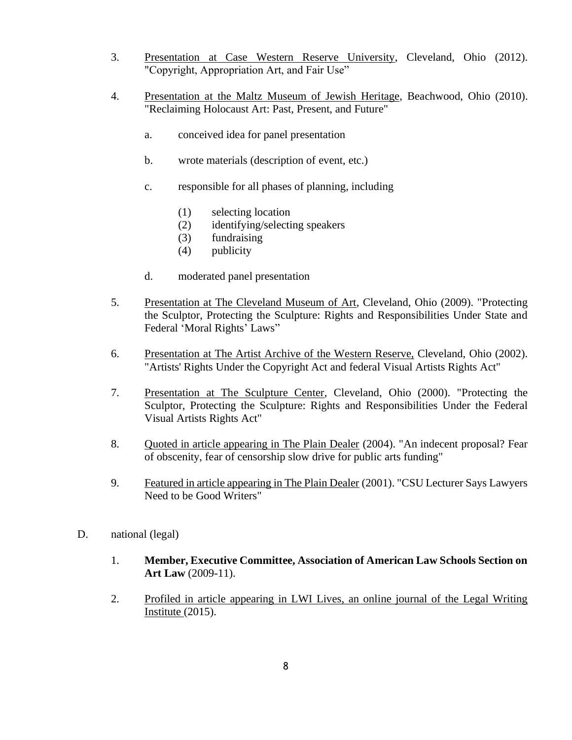- 3. Presentation at Case Western Reserve University, Cleveland, Ohio (2012). "Copyright, Appropriation Art, and Fair Use"
- 4. Presentation at the Maltz Museum of Jewish Heritage, Beachwood, Ohio (2010). "Reclaiming Holocaust Art: Past, Present, and Future"
	- a. conceived idea for panel presentation
	- b. wrote materials (description of event, etc.)
	- c. responsible for all phases of planning, including
		- (1) selecting location
		- (2) identifying/selecting speakers
		- (3) fundraising
		- (4) publicity
	- d. moderated panel presentation
- 5. Presentation at The Cleveland Museum of Art, Cleveland, Ohio (2009). "Protecting the Sculptor, Protecting the Sculpture: Rights and Responsibilities Under State and Federal 'Moral Rights' Laws"
- 6. Presentation at The Artist Archive of the Western Reserve, Cleveland, Ohio (2002). "Artists' Rights Under the Copyright Act and federal Visual Artists Rights Act"
- 7. Presentation at The Sculpture Center, Cleveland, Ohio (2000). "Protecting the Sculptor, Protecting the Sculpture: Rights and Responsibilities Under the Federal Visual Artists Rights Act"
- 8. Quoted in article appearing in The Plain Dealer (2004). "An indecent proposal? Fear of obscenity, fear of censorship slow drive for public arts funding"
- 9. Featured in article appearing in The Plain Dealer (2001). "CSU Lecturer Says Lawyers Need to be Good Writers"
- D. national (legal)
	- 1. **Member, Executive Committee, Association of American Law Schools Section on Art Law** (2009-11).
	- 2. Profiled in article appearing in LWI Lives, an online journal of the Legal Writing Institute (2015).